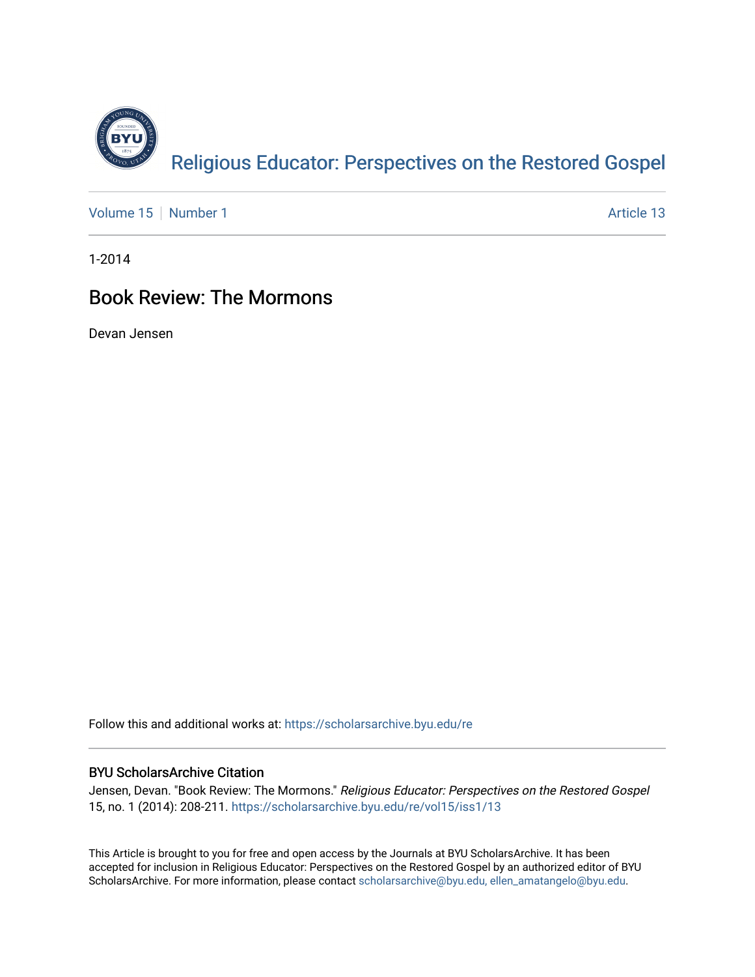

[Volume 15](https://scholarsarchive.byu.edu/re/vol15) [Number 1](https://scholarsarchive.byu.edu/re/vol15/iss1) Article 13

1-2014

## Book Review: The Mormons

Devan Jensen

Follow this and additional works at: [https://scholarsarchive.byu.edu/re](https://scholarsarchive.byu.edu/re?utm_source=scholarsarchive.byu.edu%2Fre%2Fvol15%2Fiss1%2F13&utm_medium=PDF&utm_campaign=PDFCoverPages)

## BYU ScholarsArchive Citation

Jensen, Devan. "Book Review: The Mormons." Religious Educator: Perspectives on the Restored Gospel 15, no. 1 (2014): 208-211. [https://scholarsarchive.byu.edu/re/vol15/iss1/13](https://scholarsarchive.byu.edu/re/vol15/iss1/13?utm_source=scholarsarchive.byu.edu%2Fre%2Fvol15%2Fiss1%2F13&utm_medium=PDF&utm_campaign=PDFCoverPages) 

This Article is brought to you for free and open access by the Journals at BYU ScholarsArchive. It has been accepted for inclusion in Religious Educator: Perspectives on the Restored Gospel by an authorized editor of BYU ScholarsArchive. For more information, please contact [scholarsarchive@byu.edu, ellen\\_amatangelo@byu.edu.](mailto:scholarsarchive@byu.edu,%20ellen_amatangelo@byu.edu)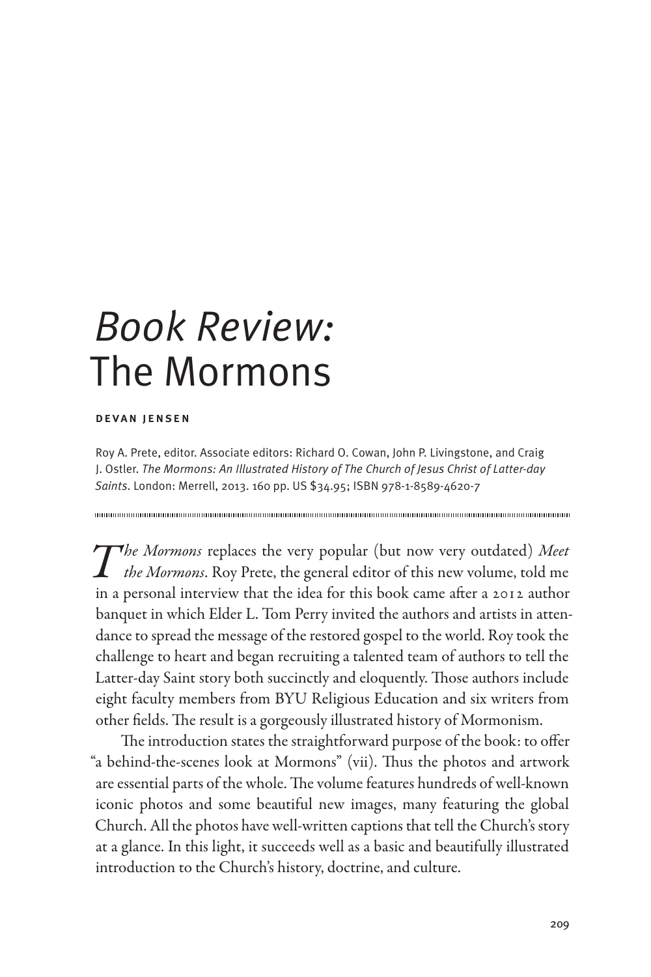## *Book Review:*  The Mormons

## devan jensen

Roy A. Prete, editor. Associate editors: Richard O. Cowan, John P. Livingstone, and Craig J. Ostler. *The Mormons: An Illustrated History of The Church of Jesus Christ of Latter-day Saints*. London: Merrell, 2013. 160 pp. US \$34.95; ISBN 978-1-8589-4620-7

*The Mormons* replaces the very popular (but now very outdated) *Meet the Mormons*. Roy Prete, the general editor of this new volume, told me in a personal interview that the idea for this book came after a 2012 author banquet in which Elder L. Tom Perry invited the authors and artists in attendance to spread the message of the restored gospel to the world. Roy took the challenge to heart and began recruiting a talented team of authors to tell the Latter-day Saint story both succinctly and eloquently. Those authors include eight faculty members from BYU Religious Education and six writers from other fields. The result is a gorgeously illustrated history of Mormonism.

The introduction states the straightforward purpose of the book: to offer "a behind-the-scenes look at Mormons" (vii). Thus the photos and artwork are essential parts of the whole. The volume features hundreds of well-known iconic photos and some beautiful new images, many featuring the global Church. All the photos have well-written captions that tell the Church's story at a glance. In this light, it succeeds well as a basic and beautifully illustrated introduction to the Church's history, doctrine, and culture.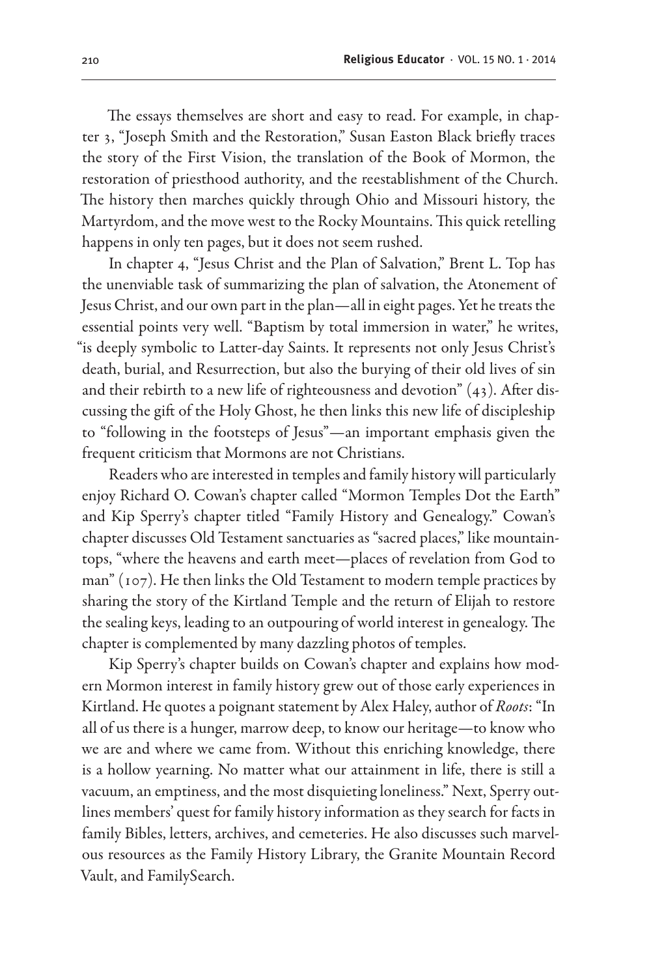The essays themselves are short and easy to read. For example, in chapter 3, "Joseph Smith and the Restoration," Susan Easton Black briefly traces the story of the First Vision, the translation of the Book of Mormon, the restoration of priesthood authority, and the reestablishment of the Church. The history then marches quickly through Ohio and Missouri history, the Martyrdom, and the move west to the Rocky Mountains. This quick retelling happens in only ten pages, but it does not seem rushed.

In chapter 4, "Jesus Christ and the Plan of Salvation," Brent L. Top has the unenviable task of summarizing the plan of salvation, the Atonement of Jesus Christ, and our own part in the plan—all in eight pages. Yet he treats the essential points very well. "Baptism by total immersion in water," he writes, "is deeply symbolic to Latter-day Saints. It represents not only Jesus Christ's death, burial, and Resurrection, but also the burying of their old lives of sin and their rebirth to a new life of righteousness and devotion" (43). After discussing the gift of the Holy Ghost, he then links this new life of discipleship to "following in the footsteps of Jesus"—an important emphasis given the frequent criticism that Mormons are not Christians.

Readers who are interested in temples and family history will particularly enjoy Richard O. Cowan's chapter called "Mormon Temples Dot the Earth" and Kip Sperry's chapter titled "Family History and Genealogy." Cowan's chapter discusses Old Testament sanctuaries as "sacred places," like mountaintops, "where the heavens and earth meet—places of revelation from God to man" (107). He then links the Old Testament to modern temple practices by sharing the story of the Kirtland Temple and the return of Elijah to restore the sealing keys, leading to an outpouring of world interest in genealogy. The chapter is complemented by many dazzling photos of temples.

Kip Sperry's chapter builds on Cowan's chapter and explains how modern Mormon interest in family history grew out of those early experiences in Kirtland. He quotes a poignant statement by Alex Haley, author of *Roots*: "In all of us there is a hunger, marrow deep, to know our heritage—to know who we are and where we came from. Without this enriching knowledge, there is a hollow yearning. No matter what our attainment in life, there is still a vacuum, an emptiness, and the most disquieting loneliness." Next, Sperry outlines members' quest for family history information as they search for facts in family Bibles, letters, archives, and cemeteries. He also discusses such marvelous resources as the Family History Library, the Granite Mountain Record Vault, and FamilySearch.